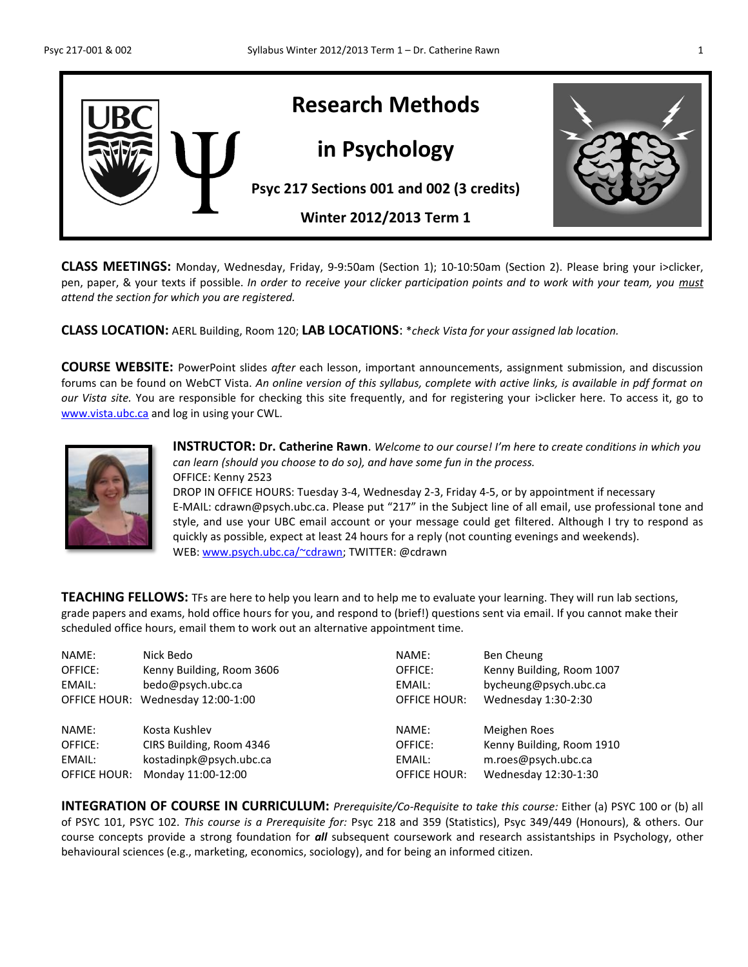

**CLASS MEETINGS:** Monday, Wednesday, Friday, 9-9:50am (Section 1); 10-10:50am (Section 2). Please bring your i>clicker, pen, paper, & your texts if possible. *In order to receive your clicker participation points and to work with your team, you must attend the section for which you are registered.*

**CLASS LOCATION:** AERL Building, Room 120; **LAB LOCATIONS**: \**check Vista for your assigned lab location.*

**COURSE WEBSITE:** PowerPoint slides *after* each lesson, important announcements, assignment submission, and discussion forums can be found on WebCT Vista. *An online version of this syllabus, complete with active links, is available in pdf format on our Vista site.* You are responsible for checking this site frequently, and for registering your i>clicker here. To access it, go to [www.vista.ubc.ca](http://www.vista.ubc.ca/)</u> and log in using your CWL.



**INSTRUCTOR: Dr. Catherine Rawn**. *Welcome to our course! I'm here to create conditions in which you can learn (should you choose to do so), and have some fun in the process.*  OFFICE: Kenny 2523 DROP IN OFFICE HOURS: Tuesday 3-4, Wednesday 2-3, Friday 4-5, or by appointment if necessary

E-MAIL: cdrawn@psych.ubc.ca. Please put "217" in the Subject line of all email, use professional tone and style, and use your UBC email account or your message could get filtered. Although I try to respond as quickly as possible, expect at least 24 hours for a reply (not counting evenings and weekends). WEB: [www.psych.ubc.ca/~cdrawn;](http://www.psych.ubc.ca/~cdrawn) TWITTER: @cdrawn

**TEACHING FELLOWS:** TFs are here to help you learn and to help me to evaluate your learning. They will run lab sections, grade papers and exams, hold office hours for you, and respond to (brief!) questions sent via email. If you cannot make their scheduled office hours, email them to work out an alternative appointment time.

| NAME:               | Nick Bedo                 | NAME:               | Ben Cheung                |
|---------------------|---------------------------|---------------------|---------------------------|
| OFFICE:             | Kenny Building, Room 3606 | OFFICE:             | Kenny Building, Room 1007 |
| EMAIL:              | bedo@psych.ubc.ca         | EMAIL:              | bycheung@psych.ubc.ca     |
| <b>OFFICE HOUR:</b> | Wednesday 12:00-1:00      | <b>OFFICE HOUR:</b> | Wednesday 1:30-2:30       |
| NAME:               | Kosta Kushlev             | NAME:               | Meighen Roes              |
| OFFICE:             | CIRS Building, Room 4346  | OFFICE:             | Kenny Building, Room 1910 |
| EMAIL:              | kostadinpk@psych.ubc.ca   | EMAIL:              | m.roes@psych.ubc.ca       |
| OFFICE HOUR:        | Monday 11:00-12:00        | <b>OFFICE HOUR:</b> | Wednesday 12:30-1:30      |

**INTEGRATION OF COURSE IN CURRICULUM:** *Prerequisite/Co-Requisite to take this course:* Either (a) PSYC 100 or (b) all of PSYC 101, PSYC 102. *This course is a Prerequisite for:* Psyc 218 and 359 (Statistics), Psyc 349/449 (Honours), & others. Our course concepts provide a strong foundation for *all* subsequent coursework and research assistantships in Psychology, other behavioural sciences (e.g., marketing, economics, sociology), and for being an informed citizen.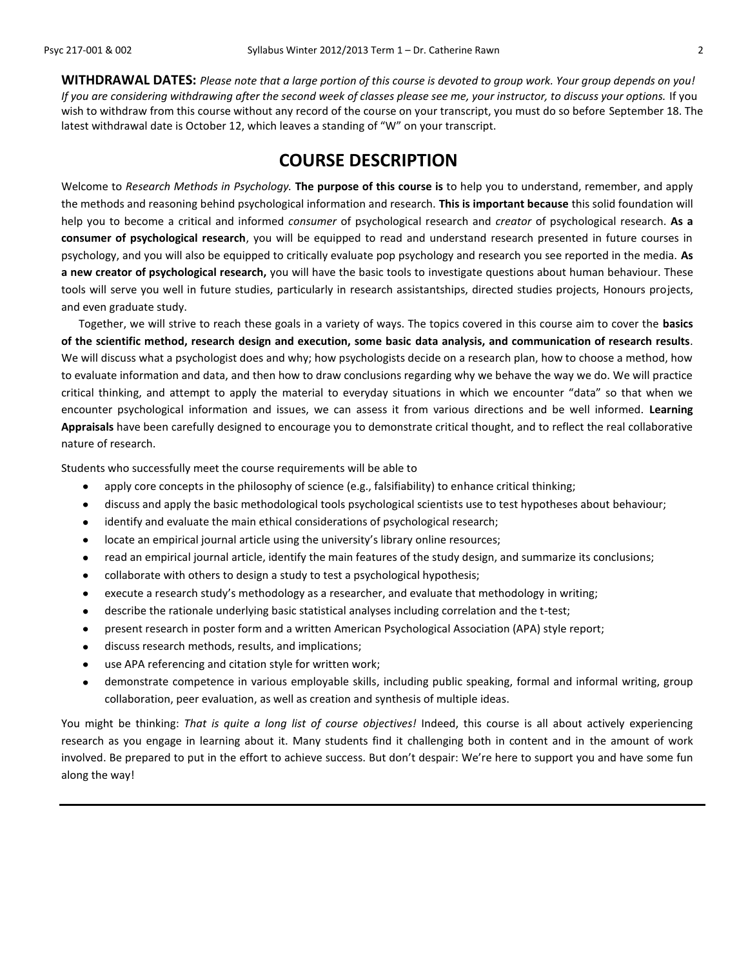**WITHDRAWAL DATES:** *Please note that a large portion of this course is devoted to group work. Your group depends on you! If you are considering withdrawing after the second week of classes please see me, your instructor, to discuss your options.* If you wish to withdraw from this course without any record of the course on your transcript, you must do so before September 18. The latest withdrawal date is October 12, which leaves a standing of "W" on your transcript.

# **COURSE DESCRIPTION**

Welcome to *Research Methods in Psychology.* **The purpose of this course is** to help you to understand, remember, and apply the methods and reasoning behind psychological information and research. **This is important because** this solid foundation will help you to become a critical and informed *consumer* of psychological research and *creator* of psychological research. **As a consumer of psychological research**, you will be equipped to read and understand research presented in future courses in psychology, and you will also be equipped to critically evaluate pop psychology and research you see reported in the media. **As a new creator of psychological research,** you will have the basic tools to investigate questions about human behaviour. These tools will serve you well in future studies, particularly in research assistantships, directed studies projects, Honours projects, and even graduate study.

Together, we will strive to reach these goals in a variety of ways. The topics covered in this course aim to cover the **basics of the scientific method, research design and execution, some basic data analysis, and communication of research results**. We will discuss what a psychologist does and why; how psychologists decide on a research plan, how to choose a method, how to evaluate information and data, and then how to draw conclusions regarding why we behave the way we do. We will practice critical thinking, and attempt to apply the material to everyday situations in which we encounter "data" so that when we encounter psychological information and issues, we can assess it from various directions and be well informed. **Learning Appraisals** have been carefully designed to encourage you to demonstrate critical thought, and to reflect the real collaborative nature of research.

Students who successfully meet the course requirements will be able to

- apply core concepts in the philosophy of science (e.g., falsifiability) to enhance critical thinking;  $\bullet$
- discuss and apply the basic methodological tools psychological scientists use to test hypotheses about behaviour;
- identify and evaluate the main ethical considerations of psychological research;
- locate an empirical journal article using the university's library online resources;
- read an empirical journal article, identify the main features of the study design, and summarize its conclusions;
- collaborate with others to design a study to test a psychological hypothesis;  $\bullet$
- execute a research study's methodology as a researcher, and evaluate that methodology in writing;
- describe the rationale underlying basic statistical analyses including correlation and the t-test;  $\bullet$
- present research in poster form and a written American Psychological Association (APA) style report;
- discuss research methods, results, and implications;  $\bullet$
- use APA referencing and citation style for written work;
- demonstrate competence in various employable skills, including public speaking, formal and informal writing, group  $\bullet$ collaboration, peer evaluation, as well as creation and synthesis of multiple ideas.

You might be thinking: *That is quite a long list of course objectives!* Indeed, this course is all about actively experiencing research as you engage in learning about it. Many students find it challenging both in content and in the amount of work involved. Be prepared to put in the effort to achieve success. But don't despair: We're here to support you and have some fun along the way!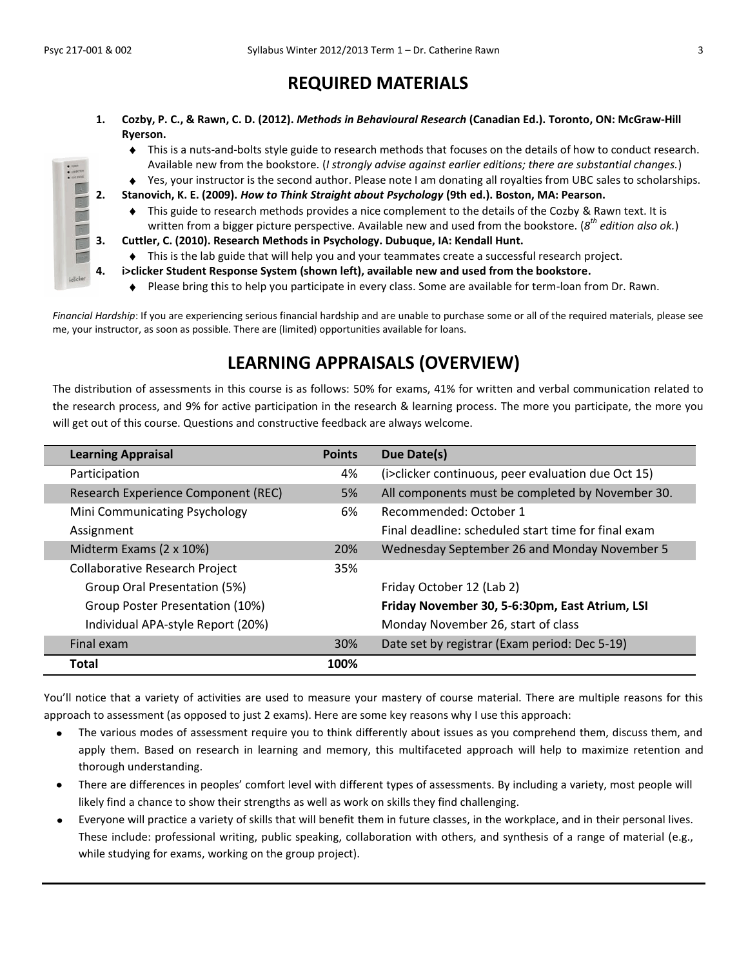# **REQUIRED MATERIALS**

- **1. Cozby, P. C., & Rawn, C. D. (2012).** *Methods in Behavioural Research* **(Canadian Ed.). Toronto, ON: McGraw-Hill Ryerson.**
	- This is a nuts-and-bolts style guide to research methods that focuses on the details of how to conduct research. Available new from the bookstore. (*I strongly advise against earlier editions; there are substantial changes.*)
	- Yes, your instructor is the second author. Please note I am donating all royalties from UBC sales to scholarships.
- **2. Stanovich, K. E. (2009).** *How to Think Straight about Psychology* **(9th ed.). Boston, MA: Pearson.**
	- $\bullet$  This guide to research methods provides a nice complement to the details of the Cozby & Rawn text. It is written from a bigger picture perspective. Available new and used from the bookstore. (*8 th edition also ok.*)
	- **3. Cuttler, C. (2010). Research Methods in Psychology. Dubuque, IA: Kendall Hunt.**
	- This is the lab guide that will help you and your teammates create a successful research project.
- **4. i>clicker Student Response System (shown left), available new and used from the bookstore.**
	- $\bullet$  Please bring this to help you participate in every class. Some are available for term-loan from Dr. Rawn.

*Financial Hardship*: If you are experiencing serious financial hardship and are unable to purchase some or all of the required materials, please see me, your instructor, as soon as possible. There are (limited) opportunities available for loans.

# **LEARNING APPRAISALS (OVERVIEW)**

The distribution of assessments in this course is as follows: 50% for exams, 41% for written and verbal communication related to the research process, and 9% for active participation in the research & learning process. The more you participate, the more you will get out of this course. Questions and constructive feedback are always welcome.

| <b>Learning Appraisal</b>             | <b>Points</b> | Due Date(s)                                         |
|---------------------------------------|---------------|-----------------------------------------------------|
| Participation                         | 4%            | (i>clicker continuous, peer evaluation due Oct 15)  |
| Research Experience Component (REC)   | 5%            | All components must be completed by November 30.    |
| Mini Communicating Psychology         | 6%            | Recommended: October 1                              |
| Assignment                            |               | Final deadline: scheduled start time for final exam |
| Midterm Exams (2 x 10%)               | 20%           | Wednesday September 26 and Monday November 5        |
| <b>Collaborative Research Project</b> | 35%           |                                                     |
| Group Oral Presentation (5%)          |               | Friday October 12 (Lab 2)                           |
| Group Poster Presentation (10%)       |               | Friday November 30, 5-6:30pm, East Atrium, LSI      |
| Individual APA-style Report (20%)     |               | Monday November 26, start of class                  |
| Final exam                            | 30%           | Date set by registrar (Exam period: Dec 5-19)       |
| <b>Total</b>                          | 100%          |                                                     |

You'll notice that a variety of activities are used to measure your mastery of course material. There are multiple reasons for this approach to assessment (as opposed to just 2 exams). Here are some key reasons why I use this approach:

- The various modes of assessment require you to think differently about issues as you comprehend them, discuss them, and  $\bullet$ apply them. Based on research in learning and memory, this multifaceted approach will help to maximize retention and thorough understanding.
- There are differences in peoples' comfort level with different types of assessments. By including a variety, most people will likely find a chance to show their strengths as well as work on skills they find challenging.
- Everyone will practice a variety of skills that will benefit them in future classes, in the workplace, and in their personal lives. These include: professional writing, public speaking, collaboration with others, and synthesis of a range of material (e.g., while studying for exams, working on the group project).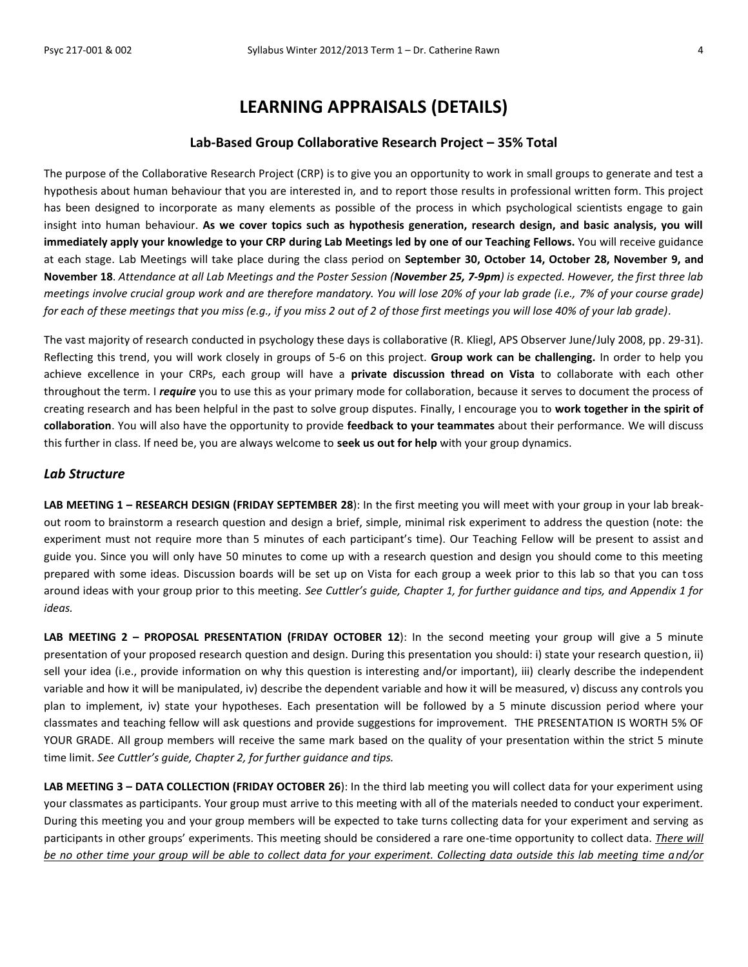# **LEARNING APPRAISALS (DETAILS)**

#### **Lab-Based Group Collaborative Research Project – 35% Total**

The purpose of the Collaborative Research Project (CRP) is to give you an opportunity to work in small groups to generate and test a hypothesis about human behaviour that you are interested in*,* and to report those results in professional written form. This project has been designed to incorporate as many elements as possible of the process in which psychological scientists engage to gain insight into human behaviour. **As we cover topics such as hypothesis generation, research design, and basic analysis, you will immediately apply your knowledge to your CRP during Lab Meetings led by one of our Teaching Fellows.** You will receive guidance at each stage. Lab Meetings will take place during the class period on **September 30, October 14, October 28, November 9, and November 18**. *Attendance at all Lab Meetings and the Poster Session (November 25, 7-9pm) is expected. However, the first three lab meetings involve crucial group work and are therefore mandatory. You will lose 20% of your lab grade (i.e., 7% of your course grade) for each of these meetings that you miss (e.g., if you miss 2 out of 2 of those first meetings you will lose 40% of your lab grade).*

The vast majority of research conducted in psychology these days is collaborative (R. Kliegl, APS Observer June/July 2008, pp. 29-31). Reflecting this trend, you will work closely in groups of 5-6 on this project. **Group work can be challenging.** In order to help you achieve excellence in your CRPs, each group will have a **private discussion thread on Vista** to collaborate with each other throughout the term. I *require* you to use this as your primary mode for collaboration, because it serves to document the process of creating research and has been helpful in the past to solve group disputes. Finally, I encourage you to **work together in the spirit of collaboration**. You will also have the opportunity to provide **feedback to your teammates** about their performance. We will discuss this further in class. If need be, you are always welcome to **seek us out for help** with your group dynamics.

### *Lab Structure*

**LAB MEETING 1 – RESEARCH DESIGN (FRIDAY SEPTEMBER 28**): In the first meeting you will meet with your group in your lab breakout room to brainstorm a research question and design a brief, simple, minimal risk experiment to address the question (note: the experiment must not require more than 5 minutes of each participant's time). Our Teaching Fellow will be present to assist and guide you. Since you will only have 50 minutes to come up with a research question and design you should come to this meeting prepared with some ideas. Discussion boards will be set up on Vista for each group a week prior to this lab so that you can toss around ideas with your group prior to this meeting. *See Cuttler's guide, Chapter 1, for further guidance and tips, and Appendix 1 for ideas.*

LAB MEETING 2 - PROPOSAL PRESENTATION (FRIDAY OCTOBER 12): In the second meeting your group will give a 5 minute presentation of your proposed research question and design. During this presentation you should: i) state your research question, ii) sell your idea (i.e., provide information on why this question is interesting and/or important), iii) clearly describe the independent variable and how it will be manipulated, iv) describe the dependent variable and how it will be measured, v) discuss any controls you plan to implement, iv) state your hypotheses. Each presentation will be followed by a 5 minute discussion period where your classmates and teaching fellow will ask questions and provide suggestions for improvement. THE PRESENTATION IS WORTH 5% OF YOUR GRADE. All group members will receive the same mark based on the quality of your presentation within the strict 5 minute time limit. *See Cuttler's guide, Chapter 2, for further guidance and tips.*

**LAB MEETING 3 – DATA COLLECTION (FRIDAY OCTOBER 26**): In the third lab meeting you will collect data for your experiment using your classmates as participants. Your group must arrive to this meeting with all of the materials needed to conduct your experiment. During this meeting you and your group members will be expected to take turns collecting data for your experiment and serving as participants in other groups' experiments. This meeting should be considered a rare one-time opportunity to collect data. *There will be no other time your group will be able to collect data for your experiment. Collecting data outside this lab meeting time and/or*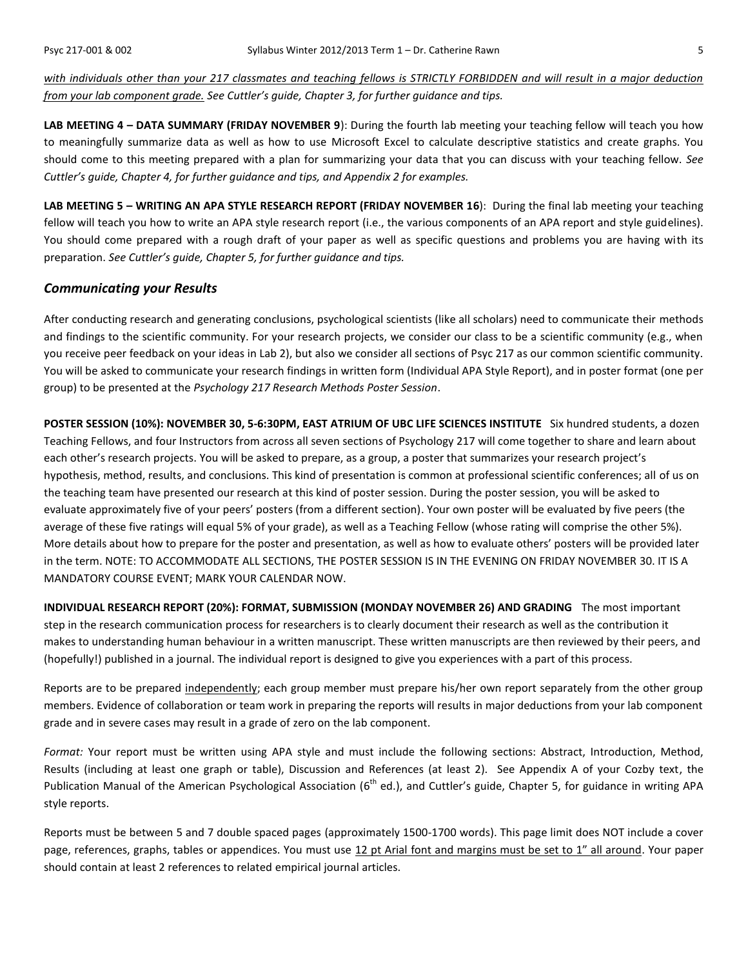*with individuals other than your 217 classmates and teaching fellows is STRICTLY FORBIDDEN and will result in a major deduction from your lab component grade. See Cuttler's guide, Chapter 3, for further guidance and tips.*

**LAB MEETING 4 – DATA SUMMARY (FRIDAY NOVEMBER 9**): During the fourth lab meeting your teaching fellow will teach you how to meaningfully summarize data as well as how to use Microsoft Excel to calculate descriptive statistics and create graphs. You should come to this meeting prepared with a plan for summarizing your data that you can discuss with your teaching fellow. *See Cuttler's guide, Chapter 4, for further guidance and tips, and Appendix 2 for examples.*

**LAB MEETING 5 – WRITING AN APA STYLE RESEARCH REPORT (FRIDAY NOVEMBER 16**): During the final lab meeting your teaching fellow will teach you how to write an APA style research report (i.e., the various components of an APA report and style guidelines). You should come prepared with a rough draft of your paper as well as specific questions and problems you are having with its preparation. *See Cuttler's guide, Chapter 5, for further guidance and tips.*

### *Communicating your Results*

After conducting research and generating conclusions, psychological scientists (like all scholars) need to communicate their methods and findings to the scientific community. For your research projects, we consider our class to be a scientific community (e.g., when you receive peer feedback on your ideas in Lab 2), but also we consider all sections of Psyc 217 as our common scientific community. You will be asked to communicate your research findings in written form (Individual APA Style Report), and in poster format (one per group) to be presented at the *Psychology 217 Research Methods Poster Session*.

**POSTER SESSION (10%): NOVEMBER 30, 5-6:30PM, EAST ATRIUM OF UBC LIFE SCIENCES INSTITUTE** Six hundred students, a dozen Teaching Fellows, and four Instructors from across all seven sections of Psychology 217 will come together to share and learn about each other's research projects. You will be asked to prepare, as a group, a poster that summarizes your research project's hypothesis, method, results, and conclusions. This kind of presentation is common at professional scientific conferences; all of us on the teaching team have presented our research at this kind of poster session. During the poster session, you will be asked to evaluate approximately five of your peers' posters (from a different section). Your own poster will be evaluated by five peers (the average of these five ratings will equal 5% of your grade), as well as a Teaching Fellow (whose rating will comprise the other 5%). More details about how to prepare for the poster and presentation, as well as how to evaluate others' posters will be provided later in the term. NOTE: TO ACCOMMODATE ALL SECTIONS, THE POSTER SESSION IS IN THE EVENING ON FRIDAY NOVEMBER 30. IT IS A MANDATORY COURSE EVENT; MARK YOUR CALENDAR NOW.

**INDIVIDUAL RESEARCH REPORT (20%): FORMAT, SUBMISSION (MONDAY NOVEMBER 26) AND GRADING** The most important step in the research communication process for researchers is to clearly document their research as well as the contribution it makes to understanding human behaviour in a written manuscript. These written manuscripts are then reviewed by their peers, and (hopefully!) published in a journal. The individual report is designed to give you experiences with a part of this process.

Reports are to be prepared independently; each group member must prepare his/her own report separately from the other group members. Evidence of collaboration or team work in preparing the reports will results in major deductions from your lab component grade and in severe cases may result in a grade of zero on the lab component.

*Format:* Your report must be written using APA style and must include the following sections: Abstract, Introduction, Method, Results (including at least one graph or table), Discussion and References (at least 2). See Appendix A of your Cozby text, the Publication Manual of the American Psychological Association (6<sup>th</sup> ed.), and Cuttler's guide, Chapter 5, for guidance in writing APA style reports.

Reports must be between 5 and 7 double spaced pages (approximately 1500-1700 words). This page limit does NOT include a cover page, references, graphs, tables or appendices. You must use 12 pt Arial font and margins must be set to 1" all around. Your paper should contain at least 2 references to related empirical journal articles.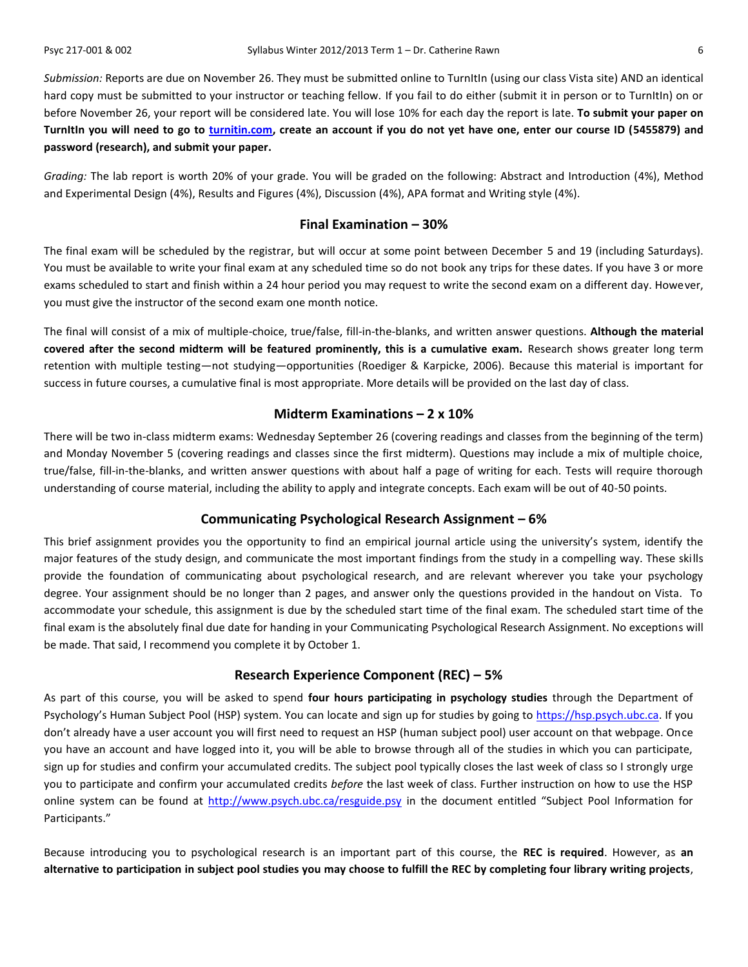*Submission:* Reports are due on November 26. They must be submitted online to TurnItIn (using our class Vista site) AND an identical hard copy must be submitted to your instructor or teaching fellow. If you fail to do either (submit it in person or to TurnItIn) on or before November 26, your report will be considered late. You will lose 10% for each day the report is late. **To submit your paper on TurnItIn you will need to go to [turnitin.com,](http://www.turnitin.com/) create an account if you do not yet have one, enter our course ID (5455879) and password (research), and submit your paper.**

*Grading:* The lab report is worth 20% of your grade. You will be graded on the following: Abstract and Introduction (4%), Method and Experimental Design (4%), Results and Figures (4%), Discussion (4%), APA format and Writing style (4%).

### **Final Examination – 30%**

The final exam will be scheduled by the registrar, but will occur at some point between December 5 and 19 (including Saturdays). You must be available to write your final exam at any scheduled time so do not book any trips for these dates. If you have 3 or more exams scheduled to start and finish within a 24 hour period you may request to write the second exam on a different day. However, you must give the instructor of the second exam one month notice.

The final will consist of a mix of multiple-choice, true/false, fill-in-the-blanks, and written answer questions. **Although the material covered after the second midterm will be featured prominently, this is a cumulative exam.** Research shows greater long term retention with multiple testing—not studying—opportunities (Roediger & Karpicke, 2006). Because this material is important for success in future courses, a cumulative final is most appropriate. More details will be provided on the last day of class.

#### **Midterm Examinations – 2 x 10%**

There will be two in-class midterm exams: Wednesday September 26 (covering readings and classes from the beginning of the term) and Monday November 5 (covering readings and classes since the first midterm). Questions may include a mix of multiple choice, true/false, fill-in-the-blanks, and written answer questions with about half a page of writing for each. Tests will require thorough understanding of course material, including the ability to apply and integrate concepts. Each exam will be out of 40-50 points.

### **Communicating Psychological Research Assignment – 6%**

This brief assignment provides you the opportunity to find an empirical journal article using the university's system, identify the major features of the study design, and communicate the most important findings from the study in a compelling way. These skills provide the foundation of communicating about psychological research, and are relevant wherever you take your psychology degree. Your assignment should be no longer than 2 pages, and answer only the questions provided in the handout on Vista. To accommodate your schedule, this assignment is due by the scheduled start time of the final exam. The scheduled start time of the final exam is the absolutely final due date for handing in your Communicating Psychological Research Assignment. No exceptions will be made. That said, I recommend you complete it by October 1.

### **Research Experience Component (REC) – 5%**

As part of this course, you will be asked to spend **four hours participating in psychology studies** through the Department of Psychology's Human Subject Pool (HSP) system. You can locate and sign up for studies by going to [https://hsp.psych.ubc.ca.](https://hsp.psych.ubc.ca/) If you don't already have a user account you will first need to request an HSP (human subject pool) user account on that webpage. Once you have an account and have logged into it, you will be able to browse through all of the studies in which you can participate, sign up for studies and confirm your accumulated credits. The subject pool typically closes the last week of class so I strongly urge you to participate and confirm your accumulated credits *before* the last week of class. Further instruction on how to use the HSP online system can be found at<http://www.psych.ubc.ca/resguide.psy> in the document entitled "Subject Pool Information for Participants."

Because introducing you to psychological research is an important part of this course, the **REC is required**. However, as **an alternative to participation in subject pool studies you may choose to fulfill the REC by completing four library writing projects**,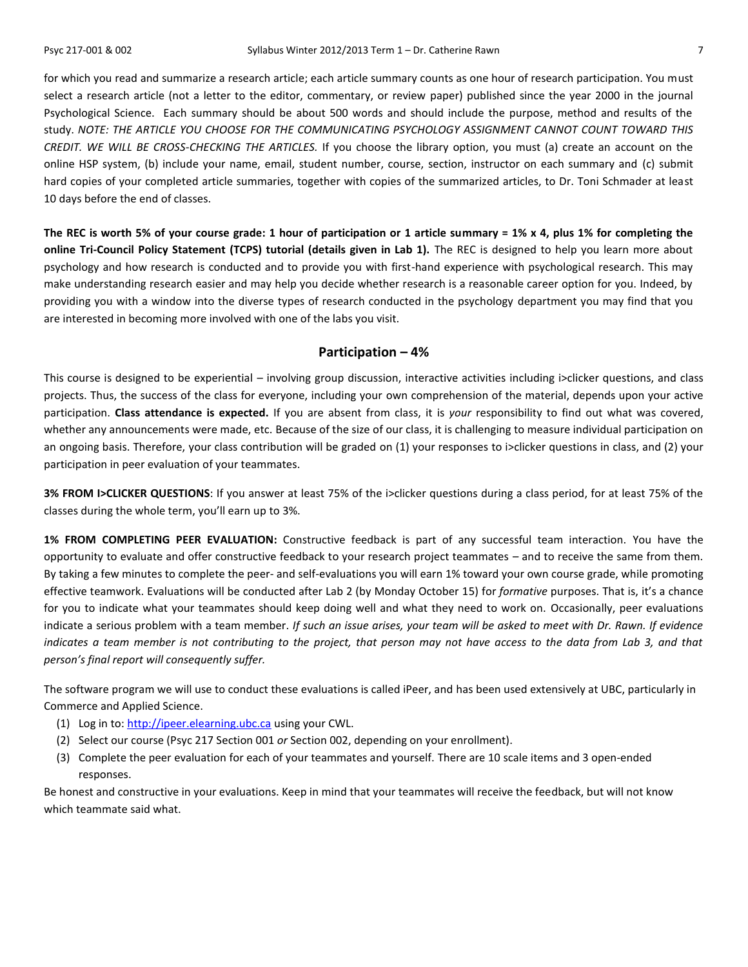for which you read and summarize a research article; each article summary counts as one hour of research participation. You must select a research article (not a letter to the editor, commentary, or review paper) published since the year 2000 in the journal Psychological Science. Each summary should be about 500 words and should include the purpose, method and results of the study. *NOTE: THE ARTICLE YOU CHOOSE FOR THE COMMUNICATING PSYCHOLOGY ASSIGNMENT CANNOT COUNT TOWARD THIS CREDIT. WE WILL BE CROSS-CHECKING THE ARTICLES.* If you choose the library option, you must (a) create an account on the online HSP system, (b) include your name, email, student number, course, section, instructor on each summary and (c) submit hard copies of your completed article summaries, together with copies of the summarized articles, to Dr. Toni Schmader at least 10 days before the end of classes.

**The REC is worth 5% of your course grade: 1 hour of participation or 1 article summary = 1% x 4, plus 1% for completing the online Tri-Council Policy Statement (TCPS) tutorial (details given in Lab 1).** The REC is designed to help you learn more about psychology and how research is conducted and to provide you with first-hand experience with psychological research. This may make understanding research easier and may help you decide whether research is a reasonable career option for you. Indeed, by providing you with a window into the diverse types of research conducted in the psychology department you may find that you are interested in becoming more involved with one of the labs you visit.

### **Participation – 4%**

This course is designed to be experiential – involving group discussion, interactive activities including i>clicker questions, and class projects. Thus, the success of the class for everyone, including your own comprehension of the material, depends upon your active participation. **Class attendance is expected.** If you are absent from class, it is *your* responsibility to find out what was covered, whether any announcements were made, etc. Because of the size of our class, it is challenging to measure individual participation on an ongoing basis. Therefore, your class contribution will be graded on (1) your responses to i>clicker questions in class, and (2) your participation in peer evaluation of your teammates.

**3% FROM I>CLICKER QUESTIONS**: If you answer at least 75% of the i>clicker questions during a class period, for at least 75% of the classes during the whole term, you'll earn up to 3%.

**1% FROM COMPLETING PEER EVALUATION:** Constructive feedback is part of any successful team interaction. You have the opportunity to evaluate and offer constructive feedback to your research project teammates – and to receive the same from them. By taking a few minutes to complete the peer- and self-evaluations you will earn 1% toward your own course grade, while promoting effective teamwork. Evaluations will be conducted after Lab 2 (by Monday October 15) for *formative* purposes. That is, it's a chance for you to indicate what your teammates should keep doing well and what they need to work on. Occasionally, peer evaluations indicate a serious problem with a team member. *If such an issue arises, your team will be asked to meet with Dr. Rawn. If evidence indicates a team member is not contributing to the project, that person may not have access to the data from Lab 3, and that person's final report will consequently suffer.*

The software program we will use to conduct these evaluations is called iPeer, and has been used extensively at UBC, particularly in Commerce and Applied Science.

- (1) Log in to: [http://ipeer.elearning.ubc.ca](http://ipeer.elearning.ubc.ca/) using your CWL.
- (2) Select our course (Psyc 217 Section 001 *or* Section 002, depending on your enrollment).
- (3) Complete the peer evaluation for each of your teammates and yourself. There are 10 scale items and 3 open-ended responses.

Be honest and constructive in your evaluations. Keep in mind that your teammates will receive the feedback, but will not know which teammate said what.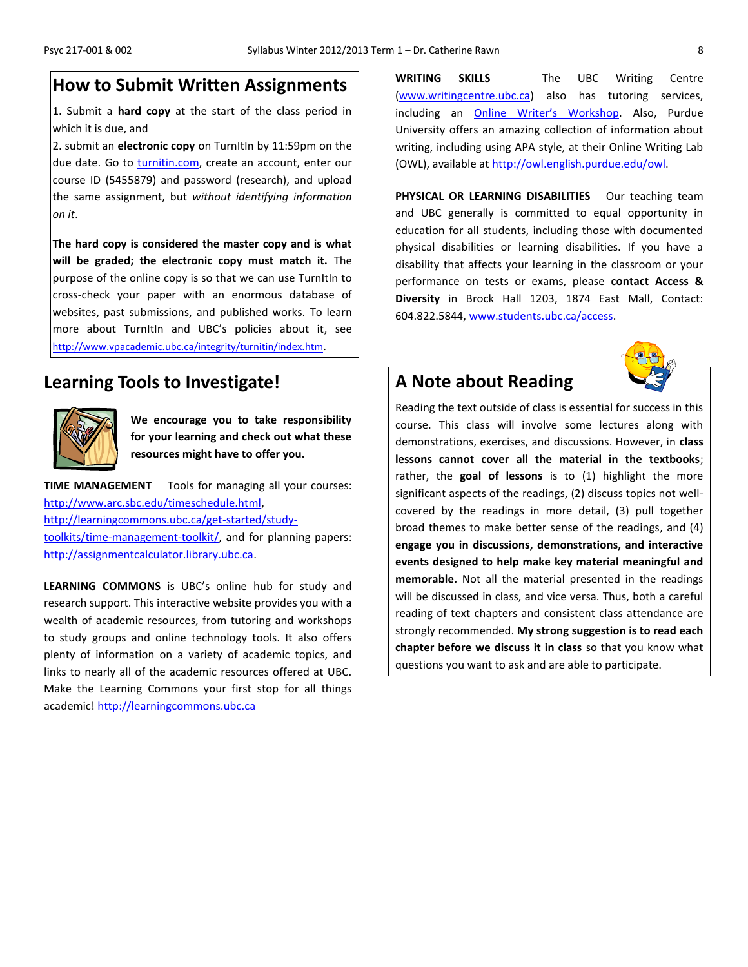# **How to Submit Written Assignments**

1. Submit a **hard copy** at the start of the class period in which it is due, and

2. submit an **electronic copy** on TurnItIn by 11:59pm on the due date. Go to [turnitin.com,](http://turnitin.com/) create an account, enter our course ID (5455879) and password (research), and upload the same assignment, but *without identifying information on it*.

**The hard copy is considered the master copy and is what will be graded; the electronic copy must match it.** The purpose of the online copy is so that we can use TurnItIn to cross-check your paper with an enormous database of websites, past submissions, and published works. To learn more about TurnItIn and UBC's policies about it, see <http://www.vpacademic.ubc.ca/integrity/turnitin/index.htm>.

### **Learning Tools to Investigate!**



**We encourage you to take responsibility for your learning and check out what these resources might have to offer you.**

**TIME MANAGEMENT** Tools for managing all your courses: [http://www.arc.sbc.edu/timeschedule.html,](http://www.arc.sbc.edu/timeschedule.html) [http://learningcommons.ubc.ca/get-started/study](http://learningcommons.ubc.ca/get-started/study-toolkits/time-management-toolkit/)[toolkits/time-management-toolkit/,](http://learningcommons.ubc.ca/get-started/study-toolkits/time-management-toolkit/) and for planning papers: [http://assignmentcalculator.library.ubc.ca.](http://assignmentcalculator.library.ubc.ca/)

**LEARNING COMMONS** is UBC's online hub for study and research support. This interactive website provides you with a wealth of academic resources, from tutoring and workshops to study groups and online technology tools. It also offers plenty of information on a variety of academic topics, and links to nearly all of the academic resources offered at UBC. Make the Learning Commons your first stop for all things academic! [http://learningcommons.ubc.ca](http://learningcommons.ubc.ca/)

**WRITING SKILLS** The UBC Writing Centre [\(www.writingcentre.ubc.ca\)](http://www.writingcentre.ubc.ca/) also has tutoring services, including an Online [Writer's Workshop](http://www.writingcentre.ubc.ca/workshop/index.html). Also, Purdue University offers an amazing collection of information about writing, including using APA style, at their Online Writing Lab (OWL), available at [http://owl.english.purdue.edu/owl.](http://owl.english.purdue.edu/owl/)

PHYSICAL OR LEARNING DISABILITIES Our teaching team and UBC generally is committed to equal opportunity in education for all students, including those with documented physical disabilities or learning disabilities. If you have a disability that affects your learning in the classroom or your performance on tests or exams, please **contact Access & Diversity** in Brock Hall 1203, 1874 East Mall, Contact: 604.822.5844, [www.students.ubc.ca/access.](http://www.students.ubc.ca/access)

# **A Note about Reading**



Reading the text outside of class is essential for success in this course. This class will involve some lectures along with demonstrations, exercises, and discussions. However, in **class lessons cannot cover all the material in the textbooks**; rather, the **goal of lessons** is to (1) highlight the more significant aspects of the readings, (2) discuss topics not wellcovered by the readings in more detail, (3) pull together broad themes to make better sense of the readings, and (4) **engage you in discussions, demonstrations, and interactive events designed to help make key material meaningful and memorable.** Not all the material presented in the readings will be discussed in class, and vice versa. Thus, both a careful reading of text chapters and consistent class attendance are strongly recommended. **My strong suggestion is to read each chapter before we discuss it in class** so that you know what questions you want to ask and are able to participate.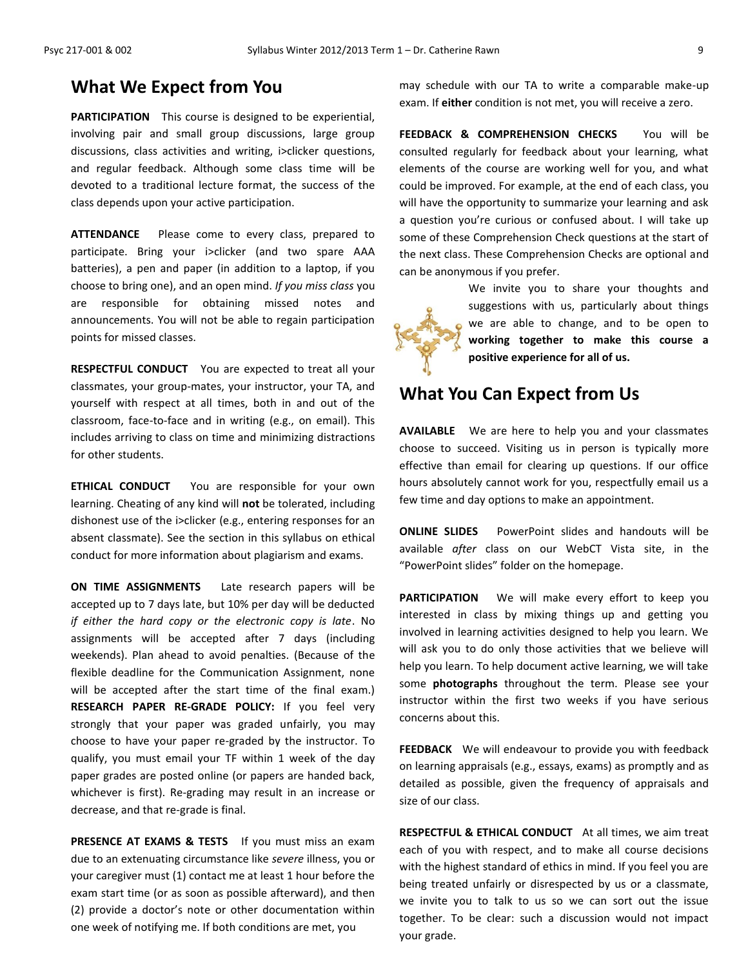# **What We Expect from You**

**PARTICIPATION** This course is designed to be experiential, involving pair and small group discussions, large group discussions, class activities and writing, i>clicker questions, and regular feedback. Although some class time will be devoted to a traditional lecture format, the success of the class depends upon your active participation.

**ATTENDANCE** Please come to every class, prepared to participate. Bring your i>clicker (and two spare AAA batteries), a pen and paper (in addition to a laptop, if you choose to bring one), and an open mind. *If you miss class* you are responsible for obtaining missed notes and announcements. You will not be able to regain participation points for missed classes.

**RESPECTFUL CONDUCT** You are expected to treat all your classmates, your group-mates, your instructor, your TA, and yourself with respect at all times, both in and out of the classroom, face-to-face and in writing (e.g., on email). This includes arriving to class on time and minimizing distractions for other students.

**ETHICAL CONDUCT** You are responsible for your own learning. Cheating of any kind will **not** be tolerated, including dishonest use of the i>clicker (e.g., entering responses for an absent classmate). See the section in this syllabus on ethical conduct for more information about plagiarism and exams.

**ON TIME ASSIGNMENTS** Late research papers will be accepted up to 7 days late, but 10% per day will be deducted *if either the hard copy or the electronic copy is late*. No assignments will be accepted after 7 days (including weekends). Plan ahead to avoid penalties. (Because of the flexible deadline for the Communication Assignment, none will be accepted after the start time of the final exam.) **RESEARCH PAPER RE-GRADE POLICY:** If you feel very strongly that your paper was graded unfairly, you may choose to have your paper re-graded by the instructor. To qualify, you must email your TF within 1 week of the day paper grades are posted online (or papers are handed back, whichever is first). Re-grading may result in an increase or decrease, and that re-grade is final.

**PRESENCE AT EXAMS & TESTS** If you must miss an exam due to an extenuating circumstance like *severe* illness, you or your caregiver must (1) contact me at least 1 hour before the exam start time (or as soon as possible afterward), and then (2) provide a doctor's note or other documentation within one week of notifying me. If both conditions are met, you

may schedule with our TA to write a comparable make-up exam. If **either** condition is not met, you will receive a zero.

**FEEDBACK & COMPREHENSION CHECKS** You will be consulted regularly for feedback about your learning, what elements of the course are working well for you, and what could be improved. For example, at the end of each class, you will have the opportunity to summarize your learning and ask a question you're curious or confused about. I will take up some of these Comprehension Check questions at the start of the next class. These Comprehension Checks are optional and can be anonymous if you prefer.



We invite you to share your thoughts and suggestions with us, particularly about things we are able to change, and to be open to **working together to make this course a positive experience for all of us.**

# **What You Can Expect from Us**

**AVAILABLE** We are here to help you and your classmates choose to succeed. Visiting us in person is typically more effective than email for clearing up questions. If our office hours absolutely cannot work for you, respectfully email us a few time and day options to make an appointment.

**ONLINE SLIDES** PowerPoint slides and handouts will be available *after* class on our WebCT Vista site, in the "PowerPoint slides" folder on the homepage.

**PARTICIPATION** We will make every effort to keep you interested in class by mixing things up and getting you involved in learning activities designed to help you learn. We will ask you to do only those activities that we believe will help you learn. To help document active learning, we will take some **photographs** throughout the term. Please see your instructor within the first two weeks if you have serious concerns about this.

**FEEDBACK** We will endeavour to provide you with feedback on learning appraisals (e.g., essays, exams) as promptly and as detailed as possible, given the frequency of appraisals and size of our class.

**RESPECTFUL & ETHICAL CONDUCT** At all times, we aim treat each of you with respect, and to make all course decisions with the highest standard of ethics in mind. If you feel you are being treated unfairly or disrespected by us or a classmate, we invite you to talk to us so we can sort out the issue together. To be clear: such a discussion would not impact your grade.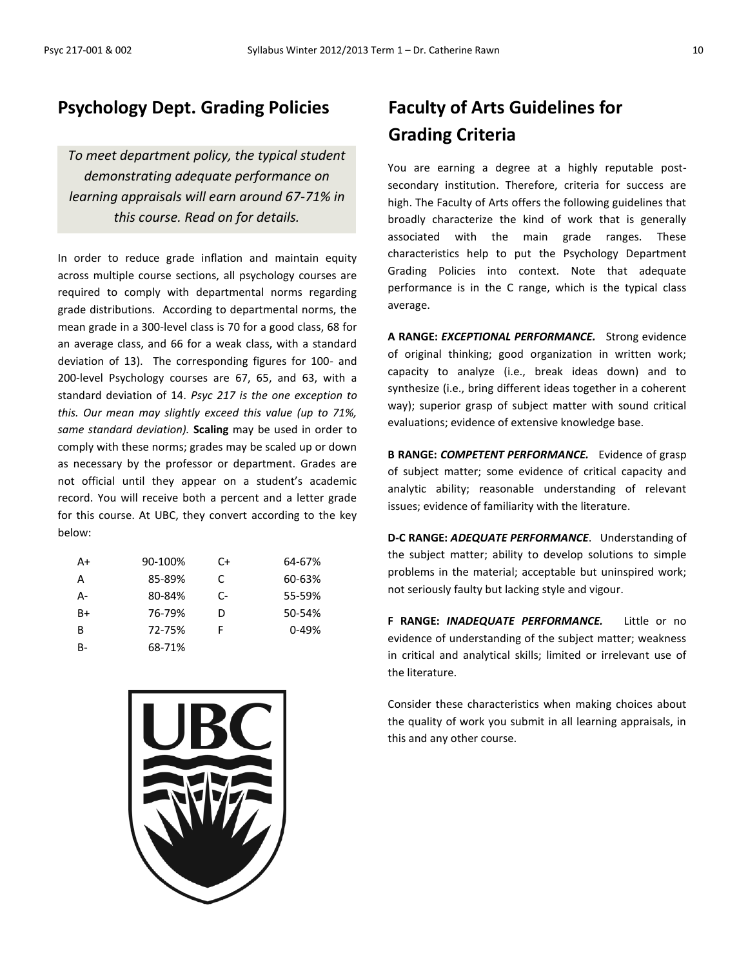# **Psychology Dept. Grading Policies**

*To meet department policy, the typical student demonstrating adequate performance on learning appraisals will earn around 67-71% in this course. Read on for details.*

In order to reduce grade inflation and maintain equity across multiple course sections, all psychology courses are required to comply with departmental norms regarding grade distributions. According to departmental norms, the mean grade in a 300-level class is 70 for a good class, 68 for an average class, and 66 for a weak class, with a standard deviation of 13). The corresponding figures for 100- and 200-level Psychology courses are 67, 65, and 63, with a standard deviation of 14. *Psyc 217 is the one exception to this. Our mean may slightly exceed this value (up to 71%, same standard deviation).* **Scaling** may be used in order to comply with these norms; grades may be scaled up or down as necessary by the professor or department. Grades are not official until they appear on a student's academic record. You will receive both a percent and a letter grade for this course. At UBC, they convert according to the key below:

| A+ | 90-100% | C+ | 64-67% |
|----|---------|----|--------|
| А  | 85-89%  | C. | 60-63% |
| А- | 80-84%  | C- | 55-59% |
| B+ | 76-79%  | D  | 50-54% |
| в  | 72-75%  | F  | 0-49%  |
| B- | 68-71%  |    |        |



# **Faculty of Arts Guidelines for Grading Criteria**

You are earning a degree at a highly reputable postsecondary institution. Therefore, criteria for success are high. The Faculty of Arts offers the following guidelines that broadly characterize the kind of work that is generally associated with the main grade ranges. These characteristics help to put the Psychology Department Grading Policies into context. Note that adequate performance is in the C range, which is the typical class average.

**A RANGE:** *EXCEPTIONAL PERFORMANCE.* Strong evidence of original thinking; good organization in written work; capacity to analyze (i.e., break ideas down) and to synthesize (i.e., bring different ideas together in a coherent way); superior grasp of subject matter with sound critical evaluations; evidence of extensive knowledge base.

**B RANGE:** *COMPETENT PERFORMANCE.* Evidence of grasp of subject matter; some evidence of critical capacity and analytic ability; reasonable understanding of relevant issues; evidence of familiarity with the literature.

**D-C RANGE:** *ADEQUATE PERFORMANCE*. Understanding of the subject matter; ability to develop solutions to simple problems in the material; acceptable but uninspired work; not seriously faulty but lacking style and vigour.

**F RANGE:** *INADEQUATE PERFORMANCE.* Little or no evidence of understanding of the subject matter; weakness in critical and analytical skills; limited or irrelevant use of the literature.

Consider these characteristics when making choices about the quality of work you submit in all learning appraisals, in this and any other course.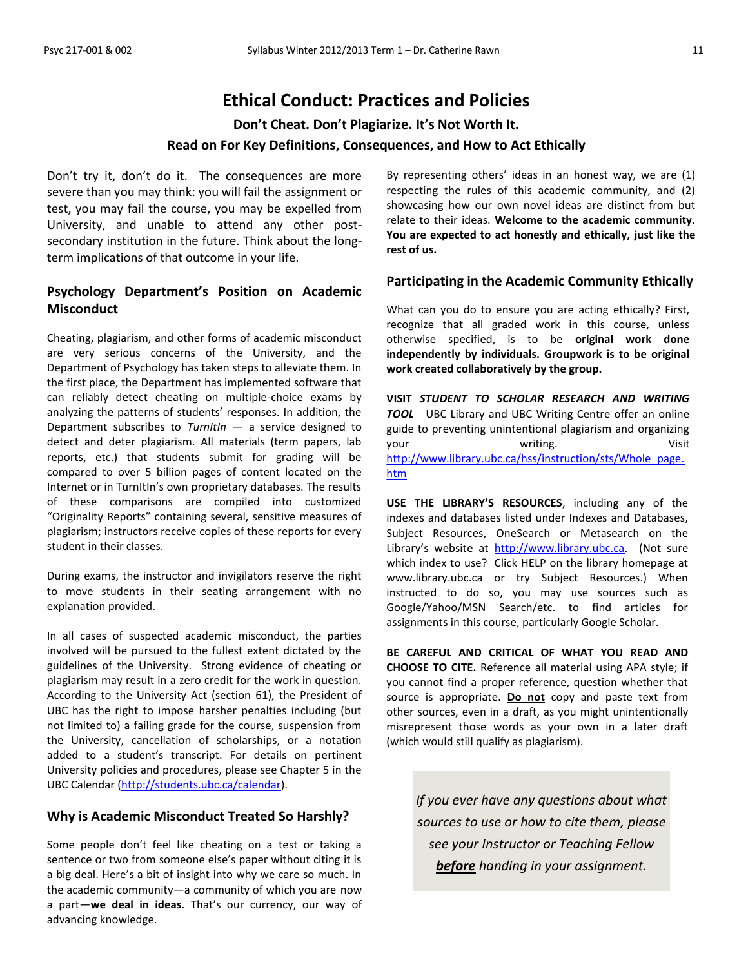# **Ethical Conduct: Practices and Policies**

**Don't Cheat. Don't Plagiarize. It's Not Worth It.** 

### **Read on For Key Definitions, Consequences, and How to Act Ethically**

Don't try it, don't do it. The consequences are more severe than you may think: you will fail the assignment or test, you may fail the course, you may be expelled from University, and unable to attend any other postsecondary institution in the future. Think about the longterm implications of that outcome in your life.

### **Psychology Department's Position on Academic Misconduct**

Cheating, plagiarism, and other forms of academic misconduct are very serious concerns of the University, and the Department of Psychology has taken steps to alleviate them. In the first place, the Department has implemented software that can reliably detect cheating on multiple-choice exams by analyzing the patterns of students' responses. In addition, the Department subscribes to *TurnItIn* — a service designed to detect and deter plagiarism. All materials (term papers, lab reports, etc.) that students submit for grading will be compared to over 5 billion pages of content located on the Internet or in TurnItIn's own proprietary databases. The results of these comparisons are compiled into customized "Originality Reports" containing several, sensitive measures of plagiarism; instructors receive copies of these reports for every student in their classes.

During exams, the instructor and invigilators reserve the right to move students in their seating arrangement with no explanation provided.

In all cases of suspected academic misconduct, the parties involved will be pursued to the fullest extent dictated by the guidelines of the University. Strong evidence of cheating or plagiarism may result in a zero credit for the work in question. According to the University Act (section 61), the President of UBC has the right to impose harsher penalties including (but not limited to) a failing grade for the course, suspension from the University, cancellation of scholarships, or a notation added to a student's transcript. For details on pertinent University policies and procedures, please see Chapter 5 in the UBC Calendar [\(http://students.ubc.ca/calendar\)](http://students.ubc.ca/calendar).

### **Why is Academic Misconduct Treated So Harshly?**

Some people don't feel like cheating on a test or taking a sentence or two from someone else's paper without citing it is a big deal. Here's a bit of insight into why we care so much. In the academic community—a community of which you are now a part—**we deal in ideas**. That's our currency, our way of advancing knowledge.

By representing others' ideas in an honest way, we are (1) respecting the rules of this academic community, and (2) showcasing how our own novel ideas are distinct from but relate to their ideas. **Welcome to the academic community. You are expected to act honestly and ethically, just like the rest of us.**

### **Participating in the Academic Community Ethically**

What can you do to ensure you are acting ethically? First, recognize that all graded work in this course, unless otherwise specified, is to be **original work done independently by individuals. Groupwork is to be original work created collaboratively by the group.**

**VISIT** *STUDENT TO SCHOLAR RESEARCH AND WRITING TOOL* UBC Library and UBC Writing Centre offer an online guide to preventing unintentional plagiarism and organizing your volume writing. The Visit [http://www.library.ubc.ca/hss/instruction/sts/Whole\\_page.](http://www.library.ubc.ca/hss/instruction/sts/Whole_page.htm) [htm](http://www.library.ubc.ca/hss/instruction/sts/Whole_page.htm)

**USE THE LIBRARY'S RESOURCES**, including any of the indexes and databases listed under Indexes and Databases, Subject Resources, OneSearch or Metasearch on the Library's website at [http://www.library.ubc.ca.](http://www.library.ubc.ca/) (Not sure which index to use? Click HELP on the library homepage at www.library.ubc.ca or try Subject Resources.) When instructed to do so, you may use sources such as Google/Yahoo/MSN Search/etc. to find articles for assignments in this course, particularly Google Scholar.

**BE CAREFUL AND CRITICAL OF WHAT YOU READ AND CHOOSE TO CITE.** Reference all material using APA style; if you cannot find a proper reference, question whether that source is appropriate. **Do not** copy and paste text from other sources, even in a draft, as you might unintentionally misrepresent those words as your own in a later draft (which would still qualify as plagiarism).

*If you ever have any questions about what sources to use or how to cite them, please see your Instructor or Teaching Fellow before handing in your assignment.*